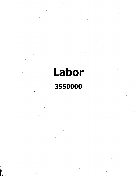**Labor 3550000**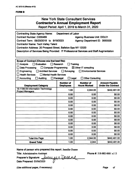| <b>New York State Consultant Services</b><br><b>Contractor's Annual Employment Report</b><br>Report Period: April 1, 2019 to March 31, 2020                                                                                                                                                                                                                                                                                                                               |                          |                                         |                                                    |  |
|---------------------------------------------------------------------------------------------------------------------------------------------------------------------------------------------------------------------------------------------------------------------------------------------------------------------------------------------------------------------------------------------------------------------------------------------------------------------------|--------------------------|-----------------------------------------|----------------------------------------------------|--|
| <b>Contracting State Agency Name:</b><br>Department of Labor<br>Contract Number: C000489<br><b>Agency Business Unit: DOL01</b><br>Contract Term: 09/20/2018 to 9/19/2023<br>Agency Department ID: 3550000<br><b>Contractor Name: Tech Valley Talent</b><br>Contractor Address: 20 Prospect Street, Ballston Spa NY 12020<br>Description of Services Being Provided: IT Professional Services and Staff Augmentation                                                       |                          |                                         |                                                    |  |
| Scope of Contract (Choose one that best fits):<br><b>Analysis</b><br>Evaluation<br>Research<br><b>Training</b><br><b>Computer Programming</b><br>$\boxtimes$ Other IT consulting<br>Data Processing<br>Ιł<br>$\Box$ Surveying<br><b>Architect Services</b><br><b>Environmental Services</b><br>Engineering<br><b>Health Services</b><br><b>Mental Health Services</b><br><b>Other Consulting</b><br>Accounting<br><b>Auditing</b><br>Paralegal<br>Legal<br>$\blacksquare$ |                          |                                         |                                                    |  |
|                                                                                                                                                                                                                                                                                                                                                                                                                                                                           |                          |                                         |                                                    |  |
|                                                                                                                                                                                                                                                                                                                                                                                                                                                                           | <b>Number of</b>         | <b>Number of</b><br><b>Hours Worked</b> | <b>Amount Payable</b><br><b>Under the Contract</b> |  |
| <b>Employment Category</b><br>15-1199.09 Information Technology                                                                                                                                                                                                                                                                                                                                                                                                           | <b>Employees</b><br>1.00 | 2,044.00                                | \$442,491.00                                       |  |
| <b>Project Managers</b>                                                                                                                                                                                                                                                                                                                                                                                                                                                   | 0.00                     | 0.00                                    | \$0.00                                             |  |
|                                                                                                                                                                                                                                                                                                                                                                                                                                                                           | 0.00                     | 0.00                                    | \$0.00                                             |  |
|                                                                                                                                                                                                                                                                                                                                                                                                                                                                           | 0.00                     | 0.00                                    | \$0.00                                             |  |
|                                                                                                                                                                                                                                                                                                                                                                                                                                                                           | 0.00                     | 0.00                                    | \$0.00                                             |  |
|                                                                                                                                                                                                                                                                                                                                                                                                                                                                           | 0.00                     | 0.00                                    | \$0.00                                             |  |
|                                                                                                                                                                                                                                                                                                                                                                                                                                                                           | 0.00                     | 0.00                                    | \$0.00                                             |  |
|                                                                                                                                                                                                                                                                                                                                                                                                                                                                           | 0.00                     | 0.00                                    | \$0.00                                             |  |
|                                                                                                                                                                                                                                                                                                                                                                                                                                                                           | 0.00                     | 0.00                                    | \$0.00                                             |  |
|                                                                                                                                                                                                                                                                                                                                                                                                                                                                           | 0.00                     | 0.00                                    | \$0.00                                             |  |
|                                                                                                                                                                                                                                                                                                                                                                                                                                                                           | 0.00                     | 0.00                                    | \$0.00                                             |  |
|                                                                                                                                                                                                                                                                                                                                                                                                                                                                           | 0.00                     | 0.00                                    | \$0.00                                             |  |
|                                                                                                                                                                                                                                                                                                                                                                                                                                                                           | 0.00                     | 0.00                                    | \$0.00                                             |  |
| <b>Total this Page</b>                                                                                                                                                                                                                                                                                                                                                                                                                                                    | 1.00                     | 2,044.00                                | \$442,491.00                                       |  |

**Name of person who prepared this report:** Jennifer Duane

Title: Administrative Assistant

**Preparer's Signature:** *JUAN*<br>Date Prepared: 05/06/2020

Phone #: 518-882-0001 x113

(Use additional pages, if necessary) example of the example of the example of the example of the example of the example of the example of the example of the example of the example of the example of the example of the examp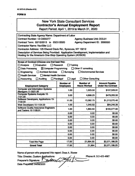## New York State Consultant Services **Contractor's Annual Employment Report Report Period: April 1, 2019 to March 31, 2020 Contracting State Agency Name: Department of Labor Contract Number: 12-C000277 Contract Term: 02/15/2013 to 03/31/2020 Contractor Name: NavlSite LLC Contractor Address: 125 Elwood Davis Rd., Syracuse, NY 13212 Description of Services Being Provided: Application Development, Implementation and Hosting for the America's** *One-Stop* **Operating System (AOSOS) Agency Business Unit: DOL01 Agency Department ID: 3550000 Scope of Contract (Choose one that best fits): Analysis Evaluation Research Training Data Processing |EI Computer Programming Other IT consulting Engineering Architect Services Surveying Environmental Services Q Health Services Mental Health Services Accounting Auditing Paralegal Legal Other Consulting Number of Houis Worked Amount Payable Under the Contract Number of Employment Category Computer and Information Systems Managers 11-3021.00 1.00 1.00 1.023.50 \$107,528.91 Computer Systems Analysts 15- 1121.00 1121.00 121.00 1121.00 1121.00 1121.00 1121.00 1121.00 1121.00 1121.00 1121.00 1121.00 1121.00 1121.00 1121.00 1121.00 1121.00 1121.00 1121.00 1121.00 1121.00 1121.00 11 Software Developers, Applications 15- 1132.00 11.00 13,362.75 \$1,213,070.45 Web Developers 15-1134.00 1.00 1,045.50 \$84,246.39 Software Quality Assurance Engineers and Testers 15-1199.01 1.00 1,863.50 \$190,077.00 \$0.000.00 0.00 0.00 0.00 \$0.00 0.00 0.00 \$0.00 0.00 \$0.000.00 0.00 \$0.00 \$0.00 0.00 \$0.00 \$0.00 0.00 0.00 \$0.00 0.00 0.00 \$0.00 Total this Page 17.00 21,994.50 \$2,071,186.25 Grand Total 17.00 21,964 \$2,071,186.25**

**Name of person who prepared this report: Dean A. Hunter**

**Title: Director, Custom Preparer's Signature: . Date Prepared: 04/08/2020 Phone #: 315-453-4987** *7k*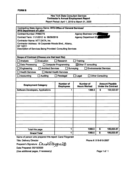## New York State Consultant Services **Contractor's Annual Employment Report**

Report Period: April 1, 2019 to March 31, 2020

| <b>Contracting State Agency Name: NYS Office of General Services/</b><br><b>NYS Department of Labor</b> |                                      |                                         |                         |                                                    |
|---------------------------------------------------------------------------------------------------------|--------------------------------------|-----------------------------------------|-------------------------|----------------------------------------------------|
| <b>Contract Number: PH65775</b>                                                                         |                                      | <b>Agency Business Unit:</b>            |                         |                                                    |
| Contract Term: 11/1/2012 to 06/30/2019                                                                  |                                      | <b>Agency Department ID:</b>            |                         |                                                    |
| Contractor Name: NTT DATA, Inc.                                                                         |                                      |                                         |                         |                                                    |
| Contractor Address: 18 Corporate Woods Blvd., Albany,                                                   |                                      |                                         |                         |                                                    |
| <b>NY 12211</b><br>Description of Services Being Provided: Consulting Services                          |                                      |                                         |                         |                                                    |
|                                                                                                         |                                      |                                         |                         |                                                    |
|                                                                                                         |                                      |                                         |                         |                                                    |
| Scope of Contract (Choose one that best fits):                                                          |                                      |                                         |                         |                                                    |
| Evaluation<br><b>Analysis</b>                                                                           | <b>Research</b>                      | <b>Training</b>                         |                         |                                                    |
| <b>Data Processing</b>                                                                                  | <b>Computer Programming</b>          | ⊠Other IT consulting                    |                         |                                                    |
| <b>Architect Services</b><br>Engineering                                                                | Surveying                            | <b>Environmental Services</b>           |                         |                                                    |
| <b>Health Services</b>                                                                                  | <b>Mental Health Services</b>        |                                         |                         |                                                    |
| <b>Accounting</b><br><b>Auditing</b>                                                                    | Paralegal                            | Legal                                   | <b>Other Consulting</b> |                                                    |
|                                                                                                         |                                      |                                         |                         |                                                    |
| $\blacksquare$<br><b>Employment Category</b>                                                            | <b>Number of</b><br><b>Employees</b> | <b>Number of</b><br><b>Hours Worked</b> |                         | <b>Amount Payable</b><br><b>Under the Contract</b> |
| <b>Software Developers, Applications</b>                                                                | 1                                    | 1368.5                                  | S                       | 100,023.67                                         |
|                                                                                                         |                                      |                                         |                         |                                                    |
|                                                                                                         |                                      |                                         |                         |                                                    |
|                                                                                                         |                                      |                                         |                         |                                                    |
|                                                                                                         |                                      |                                         |                         |                                                    |
|                                                                                                         |                                      |                                         |                         |                                                    |
|                                                                                                         |                                      |                                         |                         |                                                    |
|                                                                                                         |                                      |                                         |                         |                                                    |
|                                                                                                         |                                      |                                         |                         |                                                    |
| Total this page                                                                                         | 1                                    | 1368.5                                  | $\overline{\mathbf{s}}$ | 100,023.67                                         |
| <b>Grand Total</b>                                                                                      | 1                                    | 1368.5                                  | \$                      | 100,023.67                                         |

Name of person who prepared this report: Carol Fitzgerald

Title: Delivery Director

Preparer's Signature: Carolfitz, gerall

Date Prepared: 05/15/2020

(Use additional pages, if necessary)

Phone #: 518-815-2057

Page <sup>1</sup> of <sup>1</sup>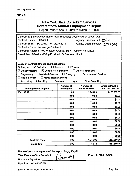## New York State Consultant Services **Contractor's Annual Employment Report**

Report Period: April 1, 2019 to March 31, 2020

| Contracting State Agency Name: New York State Department of Labor (DOL)<br>Agency Business Unit: [OL0]<br><b>Contract Number: PH65776</b><br>Contract Term: 11/01/2012 to 06/30/2019<br>Agency Department ID: 3550000<br><b>Contractor Name: Knowledge Builders Inc.</b><br>Contractor Address: 1977 Western Avenue, Ste #1, Albany, NY 12202<br>Description of Services Being Provided: Software Architect                                                 |                                      |                                         |                                                    |  |
|-------------------------------------------------------------------------------------------------------------------------------------------------------------------------------------------------------------------------------------------------------------------------------------------------------------------------------------------------------------------------------------------------------------------------------------------------------------|--------------------------------------|-----------------------------------------|----------------------------------------------------|--|
| Scope of Contract (Choose one that best fits):<br>$\boxtimes$ Evaluation<br>$\boxtimes$ Analysis<br>$\Box$ Research<br>Training<br>$\boxtimes$ Data Processing<br>$\boxtimes$ Computer Programming<br>□ Other IT consulting<br>Engineering<br>Architect Services<br>$\Box$ Surveying<br><b>Environmental Services</b><br><b>Health Services</b><br>Mental Health Services<br>Auditing<br><b>Other Consulting</b><br>Accounting<br>Paralegal<br>$\Box$ Legal |                                      |                                         |                                                    |  |
| <b>Employment Category</b>                                                                                                                                                                                                                                                                                                                                                                                                                                  | <b>Number of</b><br><b>Employees</b> | <b>Number of</b><br><b>Hours Worked</b> | <b>Amount Payable</b><br><b>Under the Contract</b> |  |
| 15-1199.02                                                                                                                                                                                                                                                                                                                                                                                                                                                  | 1.00                                 | 1,945.00                                | \$163,380.00                                       |  |
|                                                                                                                                                                                                                                                                                                                                                                                                                                                             | 0.00                                 | 0.00                                    | \$0.00                                             |  |
|                                                                                                                                                                                                                                                                                                                                                                                                                                                             | 0.00                                 | 0.00                                    | \$0.00                                             |  |
|                                                                                                                                                                                                                                                                                                                                                                                                                                                             | 0.00                                 | 0.00                                    | \$0.00                                             |  |
|                                                                                                                                                                                                                                                                                                                                                                                                                                                             | 0.00                                 | 0.00                                    | \$0.00                                             |  |
|                                                                                                                                                                                                                                                                                                                                                                                                                                                             | 0.00                                 | 0.00                                    | \$0.00                                             |  |
|                                                                                                                                                                                                                                                                                                                                                                                                                                                             | 0.00                                 | 0.00                                    | \$0.00                                             |  |
|                                                                                                                                                                                                                                                                                                                                                                                                                                                             | 0.00                                 | 0.00                                    | \$0.00                                             |  |
|                                                                                                                                                                                                                                                                                                                                                                                                                                                             | 0.00                                 | 0.00                                    | \$0.00                                             |  |
|                                                                                                                                                                                                                                                                                                                                                                                                                                                             | 0.00                                 | 0.00                                    | \$0.00                                             |  |
|                                                                                                                                                                                                                                                                                                                                                                                                                                                             | 0.00                                 | 0.00                                    | \$0.00                                             |  |
|                                                                                                                                                                                                                                                                                                                                                                                                                                                             | 0.00                                 | 0.00                                    | \$0.00                                             |  |
|                                                                                                                                                                                                                                                                                                                                                                                                                                                             | 0.00                                 | 0.00                                    | \$0.00                                             |  |
| <b>Total this Page</b>                                                                                                                                                                                                                                                                                                                                                                                                                                      | 1.00                                 | 1,945.00                                | \$163,380.00                                       |  |
| <b>Grand Total</b>                                                                                                                                                                                                                                                                                                                                                                                                                                          | 1.00                                 | 1,945                                   | \$163,380.00                                       |  |

Name of person who prepared this report: Sanjay Kapalli

Title: Executive Vice President

Preparer's Signature:

Date Prepared: 04/30/2020

Phone #: 518-810-7478

(Use additional pages, if necessary) example the control of the Page 1 of 1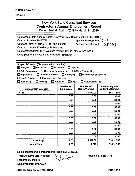## New York State Consultant Services **Contractor's Annual Employment Report**

**Report Period: April 1,2019 to March 31, 2020**

| Contracting State Agency Name: New York State Department of Labor (DOL)<br><b>Contract Number: PH65776</b><br>Agency Business Unit: Dol 0<br>Contract Term: 11/01/2012 to 06/30/2019<br>Agency Department ID: 335068 k<br><b>Contractor Name: Knowledge Builders Inc.</b><br>Contractor Address: 1977 Western Avenue, Ste #1, Albany, NY 12202<br><b>Description of Services Being Provided: Specialist</b>                                                   |                                      |                                         |                                                    |  |
|---------------------------------------------------------------------------------------------------------------------------------------------------------------------------------------------------------------------------------------------------------------------------------------------------------------------------------------------------------------------------------------------------------------------------------------------------------------|--------------------------------------|-----------------------------------------|----------------------------------------------------|--|
| Scope of Contract (Choose one that best fits):<br>$\boxtimes$ Evaluation<br>$\boxtimes$ Analysis<br>$\Box$ Research<br>Training<br>$\boxtimes$ Data Processing<br>$\boxtimes$ Computer Programming<br>$\Box$ Other IT consulting<br>Engineering<br>Architect Services<br>$\Box$ Surveying<br>$\Box$ Environmental Services<br>Mental Health Services<br><b>Health Services</b><br>Accounting<br>Auditing<br>□ Paralegal<br>□ Legal<br><b>Other Consulting</b> |                                      |                                         |                                                    |  |
| <b>Employment Category</b>                                                                                                                                                                                                                                                                                                                                                                                                                                    | <b>Number of</b><br><b>Employees</b> | <b>Number of</b><br><b>Hours Worked</b> | <b>Amount Payable</b><br><b>Under the Contract</b> |  |
| 15-1132                                                                                                                                                                                                                                                                                                                                                                                                                                                       | 2.00                                 | 1,672.00                                | \$98,313.60                                        |  |
|                                                                                                                                                                                                                                                                                                                                                                                                                                                               | 0.00                                 | 0.00                                    | \$0.00                                             |  |
|                                                                                                                                                                                                                                                                                                                                                                                                                                                               | 0.00                                 | 0.00                                    | \$0.00                                             |  |
|                                                                                                                                                                                                                                                                                                                                                                                                                                                               | 0.00                                 | 0.00                                    | \$0.00                                             |  |
|                                                                                                                                                                                                                                                                                                                                                                                                                                                               | 0.00                                 | 0.00                                    | \$0.00                                             |  |
|                                                                                                                                                                                                                                                                                                                                                                                                                                                               | 0.00                                 | 0.00                                    | \$0.00                                             |  |
|                                                                                                                                                                                                                                                                                                                                                                                                                                                               | 0.00                                 | 0.00                                    | \$0.00                                             |  |
|                                                                                                                                                                                                                                                                                                                                                                                                                                                               | 0.00                                 | 0.00                                    | \$0.00                                             |  |
|                                                                                                                                                                                                                                                                                                                                                                                                                                                               | 0.00                                 | 0.00                                    | \$0.00                                             |  |
|                                                                                                                                                                                                                                                                                                                                                                                                                                                               | 0.00                                 | 0.00                                    | \$0.00                                             |  |
|                                                                                                                                                                                                                                                                                                                                                                                                                                                               | 0.00                                 | 0.00                                    | \$0.00                                             |  |
|                                                                                                                                                                                                                                                                                                                                                                                                                                                               | 0.00                                 | 0.00                                    | \$0.00                                             |  |
|                                                                                                                                                                                                                                                                                                                                                                                                                                                               | 0.00                                 | 0.00                                    | \$0.00                                             |  |
| <b>Total this Page</b>                                                                                                                                                                                                                                                                                                                                                                                                                                        | 2.00                                 | 1,672.00                                | \$98,313.60                                        |  |
| <b>Grand Total</b>                                                                                                                                                                                                                                                                                                                                                                                                                                            | 2.00                                 | 1,672                                   | \$98,313.60                                        |  |

Name of person who prepared this report: Sanjay Kapalli

Title: Executive Vice President /

Preparer's Signature: \_\_\_\_\_\_\_\_\_\_\_\_\_\_\_\_\_\_\_\_\_\_\_\_\_\_

Date Prepared: 04/30/2020

Phone #: 518-810-7478

(Use additional pages, if necessary) example the state of the page 1 of 1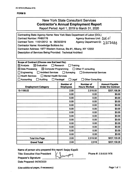# New York State Consultant Services **Contractor's Annual Employment Report**

**Report Period: April 1,2019 to March 31, 2020**

| Contracting State Agency Name: New York State Department of Labor (DOL)  |                                      |                                  |                                                    |  |
|--------------------------------------------------------------------------|--------------------------------------|----------------------------------|----------------------------------------------------|--|
| <b>Contract Number: PH65776</b><br>Agency Business Unit: DOL 0           |                                      |                                  |                                                    |  |
| Contract Term: 11/01/2012 to 06/30/2019                                  |                                      | Agency Department ID: 3350000    |                                                    |  |
| <b>Contractor Name: Knowledge Builders Inc.</b>                          |                                      |                                  |                                                    |  |
| Contractor Address: 1977 Western Avenue, Ste #1, Albany, NY 12202        |                                      |                                  |                                                    |  |
| Description of Services Being Provided: Technical Architect              |                                      |                                  |                                                    |  |
|                                                                          |                                      |                                  |                                                    |  |
|                                                                          |                                      |                                  |                                                    |  |
| Scope of Contract (Choose one that best fits):<br>$\boxtimes$ Evaluation | Research                             |                                  |                                                    |  |
| $\boxtimes$ Analysis                                                     |                                      | Training                         |                                                    |  |
| $\boxtimes$ Data Processing<br>$\boxtimes$ Computer Programming          |                                      | $\Box$ Other IT consulting       |                                                    |  |
| <b>Architect Services</b><br>$\exists$ Engineering                       | $\Box$ Surveying                     | Environmental Services           |                                                    |  |
| $\Box$ Health Services<br>$\Box$ Mental Health Services                  |                                      |                                  |                                                    |  |
| Accounting<br><b>Auditing</b>                                            | $\Box$ Paralegal<br>$\Box$ Legal     | <b>Other Consulting</b>          |                                                    |  |
| <b>Employment Category</b>                                               | <b>Number of</b><br><b>Employees</b> | Number of<br><b>Hours Worked</b> | <b>Amount Payable</b><br><b>Under the Contract</b> |  |
| 15-1199.02                                                               | 2.00                                 | 2,516.50                         | \$207,158.26                                       |  |
|                                                                          | 0.00                                 | 0.00                             | \$0.00                                             |  |
|                                                                          | 0.00                                 | 0.00                             | \$0.00                                             |  |
|                                                                          | 0.00                                 | 0.00                             | \$0.00                                             |  |
|                                                                          | 0.00                                 | 0.00                             | \$0.00                                             |  |
|                                                                          | 0.00                                 | 0.00                             | \$0.00                                             |  |
|                                                                          | 0.00                                 | 0.00                             | \$0.00                                             |  |
|                                                                          | 0.00                                 | 0.00                             | \$0.00                                             |  |
|                                                                          | 0.00                                 | 0.00                             | \$0.00                                             |  |
|                                                                          | 0.00                                 | 0.00                             | \$0.00                                             |  |
|                                                                          | 0.00                                 | 0.00                             | \$0.00                                             |  |
|                                                                          | 0.00                                 | 0.00                             | \$0.00                                             |  |
| \$0.00<br>0.00<br>0.00                                                   |                                      |                                  |                                                    |  |
| <b>Total this Page</b>                                                   | 2.00                                 | 2,516.50                         | \$207,158.26                                       |  |
| <b>Grand Total</b>                                                       | 2.00                                 | 2,516                            | \$207,158.26                                       |  |
|                                                                          |                                      |                                  |                                                    |  |

Name of person who prepared this report: Sanjay Kapalli

Title: Executive Vice President

Preparer's Signature:

Date Prepared: 04/30/2020

Phone #: 518-810-7478

(Use additional pages, if necessary) example 2 and 2 and 2 and 2 and 2 and 2 and 2 and 2 and 2 and 2 and 2 and 2 and 2 and 2 and 2 and 2 and 2 and 2 and 2 and 2 and 2 and 2 and 2 and 2 and 2 and 2 and 2 and 2 and 2 and 2 a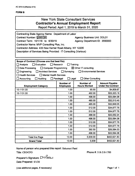## New York State Consultant Services **Contractor's Annual Employment Report**

Report Period: April 1, 2019 to March 31, 2020

| Contracting State Agency Name: Department of Labor              |                                      |                                    |                                                    |  |
|-----------------------------------------------------------------|--------------------------------------|------------------------------------|----------------------------------------------------|--|
| Contract Number: PH65780                                        |                                      | <b>Agency Business Unit: DOL01</b> |                                                    |  |
| Contract Term: 10/1/18 to 6/30/19                               |                                      | Agency Department ID: 3550000      |                                                    |  |
| Contractor Name: MVP Consulting Plus, Inc.                      |                                      |                                    |                                                    |  |
| Contractor Address: 435 New Karner Road Albany, NY 12205        |                                      |                                    |                                                    |  |
| Description of Services Being Provided: IT Consulting (Various) |                                      |                                    |                                                    |  |
|                                                                 |                                      |                                    |                                                    |  |
|                                                                 |                                      |                                    |                                                    |  |
| Scope of Contract (Choose one that best fits):                  |                                      |                                    |                                                    |  |
| Evaluation<br>Analysis                                          | Research                             | Training                           |                                                    |  |
| Data Processing<br>□ Computer Programming                       |                                      | $\boxtimes$ Other IT consulting    |                                                    |  |
| Engineering<br><b>Architect Services</b>                        | $\Box$ Surveying                     | Environmental Services             |                                                    |  |
| <b>Health Services</b><br>Mental Health Services                |                                      |                                    |                                                    |  |
| Accounting<br>Auditing                                          | $\Box$ Legal<br>$\Box$ Paralegal     | <b>Other Consulting</b>            |                                                    |  |
| <b>Employment Category</b>                                      | <b>Number of</b><br><b>Employees</b> | Number of<br><b>Hours Worked</b>   | <b>Amount Payable</b><br><b>Under the Contract</b> |  |
| 15-1151.00                                                      | 1.00                                 | 65.50                              | \$4,809.67                                         |  |
| 15-1131.00                                                      | 1.00                                 | 492.00                             | \$33,323.16                                        |  |
|                                                                 | 1.00                                 | 496.00                             | \$33,594.08                                        |  |
|                                                                 | 1.00                                 | 480.00                             | \$32,510.40                                        |  |
|                                                                 | 1.00                                 | 485.00                             | \$32,849.05                                        |  |
|                                                                 | 1.00                                 | 512.00                             | \$34,677.76                                        |  |
|                                                                 | 1.00                                 | 512.00                             | \$34,677.76                                        |  |
|                                                                 | 1.00                                 | 488.00                             | \$33,052.24                                        |  |
|                                                                 | 1.00                                 | 496.00                             | \$33,594.08                                        |  |
|                                                                 | 1.00                                 | 512.00                             | \$34,677.76                                        |  |
|                                                                 | 1.00                                 | 512.00                             | \$34,677.76                                        |  |
|                                                                 | 1.00                                 | 392.50                             | \$26,584.03                                        |  |
|                                                                 | 1.00                                 | 496.00                             | \$33,594.08                                        |  |
| <b>Total this Page</b>                                          | 13.00                                | 5,939.00                           | \$402,621.83                                       |  |
| <b>Grand Total</b>                                              | 13.00                                | 5,939                              | \$402,621.83                                       |  |

Name of person who prepared this report: Ilakumari Patel

Title: CEO/CFO

Phone #: 518-218-1700

Preparer's Signature:  $IN$  Patel Date Prepared: 5/1/20

(Use additional pages, if necessary) example 2 and 2 and 2 and 2 and 2 and 2 and 2 and 2 and 2 and 2 and 2 and 2 and 2 and 2 and 2 and 2 and 2 and 2 and 2 and 2 and 2 and 2 and 2 and 2 and 2 and 2 and 2 and 2 and 2 and 2 a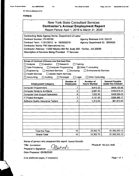**AC 3272-S (Effective 4/12)**

#### **FORMB**

|                                                                                                                                                                                                                                                                                                         |                                                     | <b>New York State Consultant Services</b><br><b>Contractor's Annual Employment Report</b><br>Report Period: April 1, 2019 to March 31, 2020 |                                                    |
|---------------------------------------------------------------------------------------------------------------------------------------------------------------------------------------------------------------------------------------------------------------------------------------------------------|-----------------------------------------------------|---------------------------------------------------------------------------------------------------------------------------------------------|----------------------------------------------------|
| Contracting State Agency Name: Department of Labor<br>Contract Number: PH 65782<br>Contract Term: 11/01/2012 to 06/30/2019<br>Contractor Name: PSI International Inc.<br>Contractor Address: 11200 Waples Mill Rd, Suite 200 Fairfax, , VA 22030<br>Description of Services Being Provided: IT Services |                                                     | <b>Agency Business Unit: DOL01</b><br>Agency Department ID: 3550000                                                                         |                                                    |
| Scope of Contract (Choose one that best fits):<br>$\square$ Analysis<br>$\Box$ Evaluation<br>Data Processing<br>□ Computer Programming<br>$\Box$ Engineering<br>Architect Services □ Surveying<br>$\Box$ Health Services<br>Mental Health Services<br>$\Box$ Accounting<br>Auditing                     | $\Box$ Research<br>$\Box$ Legal<br>$\Box$ Paralegal | Training<br><b>X Other IT consulting</b><br>Environmental Services<br><b>Other Consulting</b>                                               |                                                    |
| <b>Employment Category</b>                                                                                                                                                                                                                                                                              | <b>Number of</b><br><b>Employees</b>                | <b>Number of</b><br><b>Hours Worked</b>                                                                                                     | <b>Amount Payable</b><br><b>Under the Contract</b> |
| <b>Computer Programmers</b>                                                                                                                                                                                                                                                                             | 7                                                   | 9,810.25                                                                                                                                    | \$668,126.80                                       |
| <b>Computer Systems Architects</b>                                                                                                                                                                                                                                                                      | 2                                                   | 2,087.00                                                                                                                                    | \$164,518.21                                       |
| <b>Computer User Support Specialists</b>                                                                                                                                                                                                                                                                | 6                                                   | 7,022.50                                                                                                                                    | \$428,329.02                                       |
| <b>IT Project Managers</b>                                                                                                                                                                                                                                                                              | 2                                                   | 3,131.00                                                                                                                                    | \$269,485.17                                       |
| <b>Software Quality Assurance Testers</b>                                                                                                                                                                                                                                                               | $\overline{2}$                                      | 1,312.00                                                                                                                                    | \$61,873.92                                        |
|                                                                                                                                                                                                                                                                                                         |                                                     |                                                                                                                                             |                                                    |
|                                                                                                                                                                                                                                                                                                         |                                                     |                                                                                                                                             |                                                    |
| <b>Total this Page</b>                                                                                                                                                                                                                                                                                  | 19                                                  | 23,362.75                                                                                                                                   | \$1,592,333.12                                     |
| <b>Grand Total</b>                                                                                                                                                                                                                                                                                      | 19                                                  | 23,362.75                                                                                                                                   | \$1,592,333.12                                     |

Name of person who prepared this report: Jasmin Bertulfo

Bertri

Title: Accountant

Preparer's Signature:

**Date Prepared: 05/08/2020**

(Use additional pages, if necessary) example and the example of the example of the Page 1 of 1

Phone #: 703.621.5849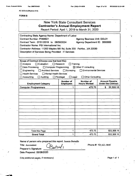**■i**

**AC 3272-S (Effective 4/12)**

**FORWIB**

| <b>New York State Consultant Services</b><br><b>Contractor's Annual Employment Report</b><br>Report Period: April 1, 2019 to March 31, 2020                                                                                                                                                            |                                                           |                                                                                                         |                                                    |  |
|--------------------------------------------------------------------------------------------------------------------------------------------------------------------------------------------------------------------------------------------------------------------------------------------------------|-----------------------------------------------------------|---------------------------------------------------------------------------------------------------------|----------------------------------------------------|--|
| Contracting State Agency Name: Department of Labor<br>Contract Number: PH68621<br>Contract Term: 07/01/2019 to 06/30/2024<br>Contractor Name: PSI International Inc.<br>Contractor Address: 11200 Waples Mill Rd, Suite 200 Fairfax, , VA 22030<br>Description of Services Being Provided: IT Services |                                                           | <b>Agency Business Unit: DOL01</b><br>Agency Department ID: 3550000                                     |                                                    |  |
| Scope of Contract (Choose one that best fits):<br>$\sqsupset$ Evaluation<br>$\Box$ Analysis<br>Computer Programming<br>Data Processing<br>Architect Services<br>Engineering<br><b>Health Services</b><br>$\Box$ Mental Health Services<br>Accounting<br>Auditing                                       | $\Box$ Research<br>Surveying<br>$\Box$ Legal<br>Paralegal | Training<br>$\boxtimes$ Other IT consulting<br><b>Environmental Services</b><br><b>Other Consulting</b> |                                                    |  |
| <b>Employment Category</b>                                                                                                                                                                                                                                                                             | Number of<br><b>Employees</b>                             | Number of<br><b>Hours Worked</b>                                                                        | <b>Amount Payable</b><br><b>Under the Contract</b> |  |
| <b>Computer Programmers</b>                                                                                                                                                                                                                                                                            | 1                                                         | 475.75                                                                                                  | S<br>32,308.18                                     |  |
|                                                                                                                                                                                                                                                                                                        |                                                           |                                                                                                         |                                                    |  |
|                                                                                                                                                                                                                                                                                                        |                                                           |                                                                                                         |                                                    |  |
|                                                                                                                                                                                                                                                                                                        |                                                           |                                                                                                         |                                                    |  |
|                                                                                                                                                                                                                                                                                                        |                                                           |                                                                                                         |                                                    |  |
|                                                                                                                                                                                                                                                                                                        |                                                           |                                                                                                         |                                                    |  |
|                                                                                                                                                                                                                                                                                                        |                                                           |                                                                                                         |                                                    |  |
|                                                                                                                                                                                                                                                                                                        |                                                           |                                                                                                         |                                                    |  |
|                                                                                                                                                                                                                                                                                                        |                                                           | $\pmb{\mathcal{L}}$                                                                                     |                                                    |  |
|                                                                                                                                                                                                                                                                                                        |                                                           |                                                                                                         |                                                    |  |
|                                                                                                                                                                                                                                                                                                        |                                                           |                                                                                                         |                                                    |  |
| <b>Total this Page</b>                                                                                                                                                                                                                                                                                 | 1                                                         | 475.75                                                                                                  | \$32,308.18                                        |  |

**Name'of person who prepared this report: Jasmin Bertulfo**

**]**

**Title: Accountant**

**Preparer's Signature:**

**Date Prepared: 05/08/2020**

(Use additional pages, if necessary) example and the example of the example of the Page 1 of 1

**Phone#: 703.621.5849**

V